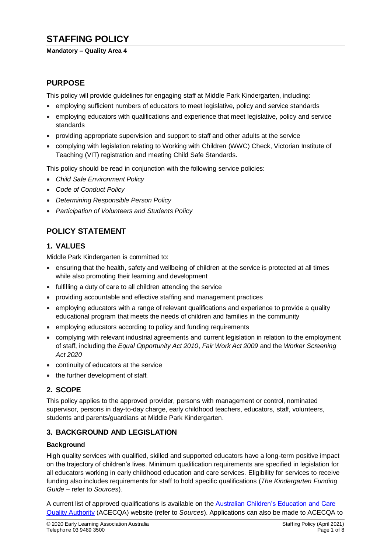# **STAFFING POLICY**

#### **Mandatory – Quality Area 4**

# **PURPOSE**

This policy will provide guidelines for engaging staff at Middle Park Kindergarten, including:

- employing sufficient numbers of educators to meet legislative, policy and service standards
- employing educators with qualifications and experience that meet legislative, policy and service standards
- providing appropriate supervision and support to staff and other adults at the service
- complying with legislation relating to Working with Children (WWC) Check, Victorian Institute of Teaching (VIT) registration and meeting Child Safe Standards.

This policy should be read in conjunction with the following service policies:

- *Child Safe Environment Policy*
- *Code of Conduct Policy*
- *Determining Responsible Person Policy*
- *Participation of Volunteers and Students Policy*

# **POLICY STATEMENT**

### **1. VALUES**

Middle Park Kindergarten is committed to:

- ensuring that the health, safety and wellbeing of children at the service is protected at all times while also promoting their learning and development
- fulfilling a duty of care to all children attending the service
- providing accountable and effective staffing and management practices
- employing educators with a range of relevant qualifications and experience to provide a quality educational program that meets the needs of children and families in the community
- employing educators according to policy and funding requirements
- complying with relevant industrial agreements and current legislation in relation to the employment of staff, including the *Equal Opportunity Act 2010*, *Fair Work Act 2009* and the *Worker Screening Act 2020*
- continuity of educators at the service
- the further development of staff*.*

## **2. SCOPE**

This policy applies to the approved provider, persons with management or control, nominated supervisor, persons in day-to-day charge, early childhood teachers, educators, staff, volunteers, students and parents/guardians at Middle Park Kindergarten.

## **3. BACKGROUND AND LEGISLATION**

#### **Background**

High quality services with qualified, skilled and supported educators have a long-term positive impact on the trajectory of children's lives. Minimum qualification requirements are specified in legislation for all educators working in early childhood education and care services. Eligibility for services to receive funding also includes requirements for staff to hold specific qualifications (*The Kindergarten Funding Guide –* refer to *Sources*)*.*

A current list of approved qualifications is available on the [Australian Children's Education and Care](https://www.acecqa.gov.au/)  [Quality Authority](https://www.acecqa.gov.au/) (ACECQA) website (refer to *Sources*). Applications can also be made to ACECQA to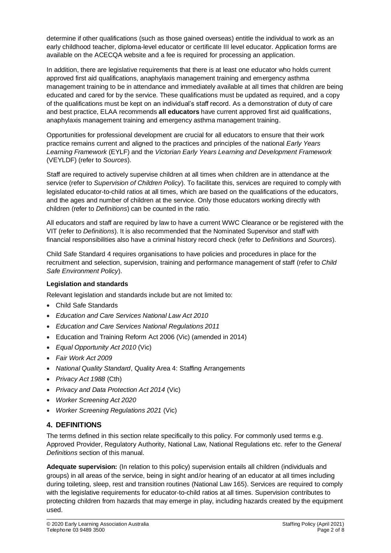determine if other qualifications (such as those gained overseas) entitle the individual to work as an early childhood teacher, diploma-level educator or certificate III level educator. Application forms are available on the ACECQA website and a fee is required for processing an application.

In addition, there are legislative requirements that there is at least one educator who holds current approved first aid qualifications, anaphylaxis management training and emergency asthma management training to be in attendance and immediately available at all times that children are being educated and cared for by the service. These qualifications must be updated as required, and a copy of the qualifications must be kept on an individual's staff record. As a demonstration of duty of care and best practice, ELAA recommends **all educators** have current approved first aid qualifications, anaphylaxis management training and emergency asthma management training.

Opportunities for professional development are crucial for all educators to ensure that their work practice remains current and aligned to the practices and principles of the national *Early Years Learning Framework* (EYLF) and the *Victorian Early Years Learning and Development Framework* (VEYLDF) (refer to *Sources*).

Staff are required to actively supervise children at all times when children are in attendance at the service (refer to *Supervision of Children Policy*). To facilitate this, services are required to comply with legislated educator-to-child ratios at all times, which are based on the qualifications of the educators, and the ages and number of children at the service. Only those educators working directly with children (refer to *Definitions*) can be counted in the ratio.

All educators and staff are required by law to have a current WWC Clearance or be registered with the VIT (refer to *Definitions*). It is also recommended that the Nominated Supervisor and staff with financial responsibilities also have a criminal history record check (refer to *Definitions* and *Sources*).

Child Safe Standard 4 requires organisations to have policies and procedures in place for the recruitment and selection, supervision, training and performance management of staff (refer to *Child Safe Environment Policy*).

#### **Legislation and standards**

Relevant legislation and standards include but are not limited to:

- Child Safe Standards
- *Education and Care Services National Law Act 2010*
- *Education and Care Services National Regulations 2011*
- Education and Training Reform Act 2006 (Vic) (amended in 2014)
- *Equal Opportunity Act 2010* (Vic)
- *Fair Work Act 2009*
- *National Quality Standard*, Quality Area 4: Staffing Arrangements
- *Privacy Act 1988* (Cth)
- *Privacy and Data Protection Act 2014* (Vic)
- *Worker Screening Act 2020*
- *Worker Screening Regulations 2021* (Vic)

# **4. DEFINITIONS**

The terms defined in this section relate specifically to this policy. For commonly used terms e.g. Approved Provider, Regulatory Authority, National Law, National Regulations etc. refer to the *General Definitions* section of this manual.

**Adequate supervision:** (In relation to this policy) supervision entails all children (individuals and groups) in all areas of the service, being in sight and/or hearing of an educator at all times including during toileting, sleep, rest and transition routines (National Law 165). Services are required to comply with the legislative requirements for educator-to-child ratios at all times. Supervision contributes to protecting children from hazards that may emerge in play, including hazards created by the equipment used.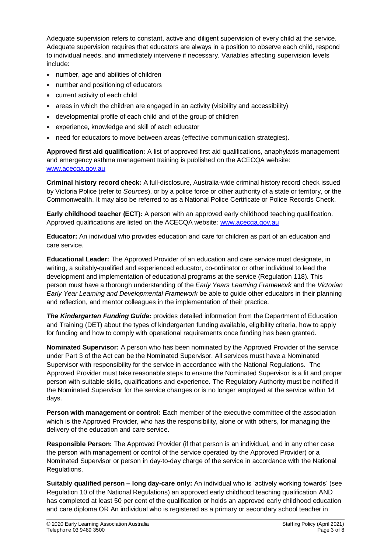Adequate supervision refers to constant, active and diligent supervision of every child at the service. Adequate supervision requires that educators are always in a position to observe each child, respond to individual needs, and immediately intervene if necessary. Variables affecting supervision levels include:

- number, age and abilities of children
- number and positioning of educators
- current activity of each child
- areas in which the children are engaged in an activity (visibility and accessibility)
- developmental profile of each child and of the group of children
- experience, knowledge and skill of each educator
- need for educators to move between areas (effective communication strategies).

**Approved first aid qualification:** A list of approved first aid qualifications, anaphylaxis management and emergency asthma management training is published on the ACECQA website: [www.acecqa.gov.au](http://www.acecqa.gov.au/)

**Criminal history record check:** A full-disclosure, Australia-wide criminal history record check issued by Victoria Police (refer to *Sources*), or by a police force or other authority of a state or territory, or the Commonwealth. It may also be referred to as a National Police Certificate or Police Records Check.

**Early childhood teacher (ECT):** A person with an approved early childhood teaching qualification. Approved qualifications are listed on the ACECQA website: [www.acecqa.gov.au](http://www.acecqa.gov.au/)

**Educator:** An individual who provides education and care for children as part of an education and care service.

**Educational Leader:** The Approved Provider of an education and care service must designate, in writing, a suitably-qualified and experienced educator, co-ordinator or other individual to lead the development and implementation of educational programs at the service (Regulation 118). This person must have a thorough understanding of the *Early Years Learning Framework* and the *Victorian Early Year Learning and Developmental Framework* be able to guide other educators in their planning and reflection, and mentor colleagues in the implementation of their practice.

*The Kindergarten Funding Guide***:** provides detailed information from the Department of Education and Training (DET) about the types of kindergarten funding available, eligibility criteria, how to apply for funding and how to comply with operational requirements once funding has been granted.

**Nominated Supervisor:** A person who has been nominated by the Approved Provider of the service under Part 3 of the Act can be the Nominated Supervisor. All services must have a Nominated Supervisor with responsibility for the service in accordance with the National Regulations. The Approved Provider must take reasonable steps to ensure the Nominated Supervisor is a fit and proper person with suitable skills, qualifications and experience. The Regulatory Authority must be notified if the Nominated Supervisor for the service changes or is no longer employed at the service within 14 days.

Person with management or control: Each member of the executive committee of the association which is the Approved Provider, who has the responsibility, alone or with others, for managing the delivery of the education and care service.

**Responsible Person:** The Approved Provider (if that person is an individual, and in any other case the person with management or control of the service operated by the Approved Provider) or a Nominated Supervisor or person in day-to-day charge of the service in accordance with the National Regulations.

**Suitably qualified person – long day-care only:** An individual who is ['actively working towards'](https://www.acecqa.gov.au/qualifications/requirements/actively-working-towards-a-qualification) (see Regulation 10 of the National Regulations) an approved early childhood teaching qualification AND has completed at least 50 per cent of the qualification or holds an approved early childhood education and care diploma OR An individual who is registered as a primary or secondary school teacher in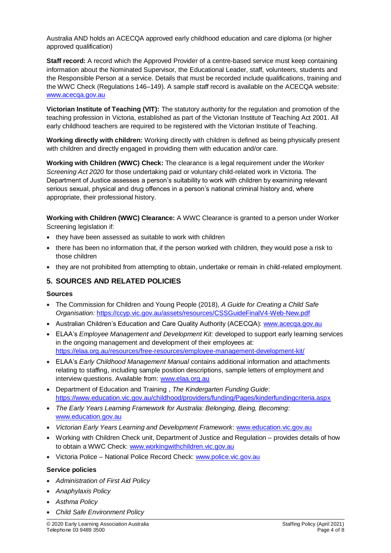Australia AND holds an ACECQA approved early childhood education and care diploma (or higher approved qualification)

**Staff record:** A record which the Approved Provider of a centre-based service must keep containing information about the Nominated Supervisor, the Educational Leader, staff, volunteers, students and the Responsible Person at a service. Details that must be recorded include qualifications, training and the WWC Check (Regulations 146–149). A sample staff record is available on the ACECQA website: [www.acecqa.gov.au](http://www.acecqa.gov.au/)

**Victorian Institute of Teaching (VIT):** The statutory authority for the regulation and promotion of the teaching profession in Victoria, established as part of the Victorian Institute of Teaching Act 2001. All early childhood teachers are required to be registered with the Victorian Institute of Teaching.

**Working directly with children:** Working directly with children is defined as being physically present with children and directly engaged in providing them with education and/or care.

**Working with Children (WWC) Check:** The clearance is a legal requirement under the *Worker Screening Act 2020* for those undertaking paid or voluntary child-related work in Victoria. The Department of Justice assesses a person's suitability to work with children by examining relevant serious sexual, physical and drug offences in a person's national criminal history and, where appropriate, their professional history.

**Working with Children (WWC) Clearance:** A WWC Clearance is granted to a person under Worker Screening legislation if:

- they have been assessed as suitable to work with children
- there has been no information that, if the person worked with children, they would pose a risk to those children
- they are not prohibited from attempting to obtain, undertake or remain in child-related employment.

## **5. SOURCES AND RELATED POLICIES**

#### **Sources**

- The Commission for Children and Young People (2018), *A Guide for Creating a Child Safe Organisation:* <https://ccyp.vic.gov.au/assets/resources/CSSGuideFinalV4-Web-New.pdf>
- Australian Children's Education and Care Quality Authority (ACECQA): [www.acecqa.gov.au](http://www.acecqa.gov.au/)
- ELAA's *Employee Management and Development Kit:* developed to support early learning services in the ongoing management and development of their employees at: <https://elaa.org.au/resources/free-resources/employee-management-development-kit/>
- ELAA's *Early Childhood Management Manual* contains additional information and attachments relating to staffing, including sample position descriptions, sample letters of employment and interview questions. Available from: [www.elaa.org.au](http://www.elaa.org.au/)
- Department of Education and Training , *The Kindergarten Funding Guide*: <https://www.education.vic.gov.au/childhood/providers/funding/Pages/kinderfundingcriteria.aspx>
- *The Early Years Learning Framework for Australia: Belonging, Being, Becoming*: [www.education.gov.au](http://www.education.gov.au/)
- *Victorian Early Years Learning and Development Framework*: [www.education.vic.gov.au](http://www.education.vic.gov.au/Pages/default.aspx)
- Working with Children Check unit, Department of Justice and Regulation provides details of how to obtain a WWC Check: [www.workingwithchildren.vic.gov.au](http://www.workingwithchildren.vic.gov.au/)
- Victoria Police National Police Record Check: [www.police.vic.gov.au](http://www.police.vic.gov.au/)

#### **Service policies**

- *Administration of First Aid Policy*
- *Anaphylaxis Policy*
- *Asthma Policy*
- *Child Safe Environment Policy*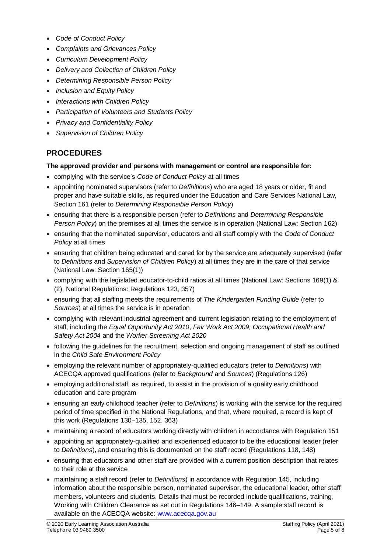- *Code of Conduct Policy*
- *Complaints and Grievances Policy*
- *Curriculum Development Policy*
- *Delivery and Collection of Children Policy*
- *Determining Responsible Person Policy*
- *Inclusion and Equity Policy*
- *Interactions with Children Policy*
- *Participation of Volunteers and Students Policy*
- *Privacy and Confidentiality Policy*
- *Supervision of Children Policy*

# **PROCEDURES**

#### **The approved provider and persons with management or control are responsible for:**

- complying with the service's *Code of Conduct Policy* at all times
- appointing nominated supervisors (refer to *Definitions*) who are aged 18 years or older, fit and proper and have suitable skills, as required under the Education and Care Services National Law, Section 161 (refer to *Determining Responsible Person Policy*)
- ensuring that there is a responsible person (refer to *Definitions* and *Determining Responsible Person Policy*) on the premises at all times the service is in operation (National Law: Section 162)
- ensuring that the nominated supervisor, educators and all staff comply with the *Code of Conduct Policy* at all times
- ensuring that children being educated and cared for by the service are adequately supervised (refer to *Definitions* and *Supervision of Children Policy*) at all times they are in the care of that service (National Law: Section 165(1))
- complying with the legislated educator-to-child ratios at all times (National Law: Sections 169(1) & (2), National Regulations: Regulations 123, 357)
- ensuring that all staffing meets the requirements of *The Kindergarten Funding Guide* (refer to *Sources*) at all times the service is in operation
- complying with relevant industrial agreement and current legislation relating to the employment of staff, including the *Equal Opportunity Act 2010*, *Fair Work Act 2009, Occupational Health and Safety Act 2004* and the *Worker Screening Act 2020*
- following the guidelines for the recruitment, selection and ongoing management of staff as outlined in the *Child Safe Environment Policy*
- employing the relevant number of appropriately-qualified educators (refer to *Definitions*) with ACECQA approved qualifications (refer to *Background* and *Sources*) (Regulations 126)
- employing additional staff, as required, to assist in the provision of a quality early childhood education and care program
- ensuring an early childhood teacher (refer to *Definitions*) is working with the service for the required period of time specified in the National Regulations, and that, where required, a record is kept of this work (Regulations 130–135, 152, 363)
- maintaining a record of educators working directly with children in accordance with Regulation 151
- appointing an appropriately-qualified and experienced educator to be the educational leader (refer to *Definitions*), and ensuring this is documented on the staff record (Regulations 118, 148)
- ensuring that educators and other staff are provided with a current position description that relates to their role at the service
- maintaining a staff record (refer to *Definitions*) in accordance with Regulation 145, including information about the responsible person, nominated supervisor, the educational leader, other staff members, volunteers and students. Details that must be recorded include qualifications, training, Working with Children Clearance as set out in Regulations 146–149. A sample staff record is available on the ACECQA website: [www.acecqa.gov.au](http://www.acecqa.gov.au/)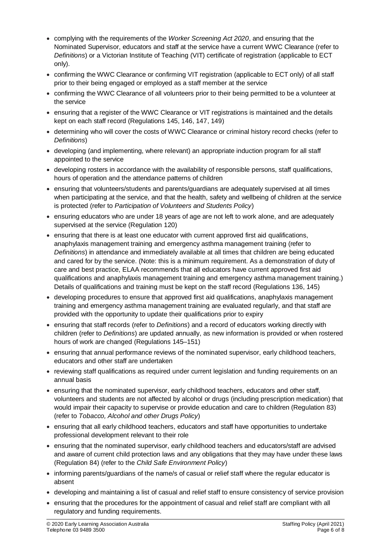- complying with the requirements of the *Worker Screening Act 2020*, and ensuring that the Nominated Supervisor, educators and staff at the service have a current WWC Clearance (refer to *Definitions*) or a Victorian Institute of Teaching (VIT) certificate of registration (applicable to ECT only).
- confirming the WWC Clearance or confirming VIT registration (applicable to ECT only) of all staff prior to their being engaged or employed as a staff member at the service
- confirming the WWC Clearance of all volunteers prior to their being permitted to be a volunteer at the service
- ensuring that a register of the WWC Clearance or VIT registrations is maintained and the details kept on each staff record (Regulations 145, 146, 147, 149)
- determining who will cover the costs of WWC Clearance or criminal history record checks (refer to *Definitions*)
- developing (and implementing, where relevant) an appropriate induction program for all staff appointed to the service
- developing rosters in accordance with the availability of responsible persons, staff qualifications, hours of operation and the attendance patterns of children
- ensuring that volunteers/students and parents/guardians are adequately supervised at all times when participating at the service, and that the health, safety and wellbeing of children at the service is protected (refer to *Participation of Volunteers and Students Policy*)
- ensuring educators who are under 18 years of age are not left to work alone, and are adequately supervised at the service (Regulation 120)
- ensuring that there is at least one educator with current approved first aid qualifications, anaphylaxis management training and emergency asthma management training (refer to *Definitions*) in attendance and immediately available at all times that children are being educated and cared for by the service. (Note: this is a minimum requirement. As a demonstration of duty of care and best practice, ELAA recommends that all educators have current approved first aid qualifications and anaphylaxis management training and emergency asthma management training.) Details of qualifications and training must be kept on the staff record (Regulations 136, 145)
- developing procedures to ensure that approved first aid qualifications, anaphylaxis management training and emergency asthma management training are evaluated regularly, and that staff are provided with the opportunity to update their qualifications prior to expiry
- ensuring that staff records (refer to *Definitions*) and a record of educators working directly with children (refer to *Definitions*) are updated annually, as new information is provided or when rostered hours of work are changed (Regulations 145–151)
- ensuring that annual performance reviews of the nominated supervisor, early childhood teachers, educators and other staff are undertaken
- reviewing staff qualifications as required under current legislation and funding requirements on an annual basis
- ensuring that the nominated supervisor, early childhood teachers, educators and other staff, volunteers and students are not affected by alcohol or drugs (including prescription medication) that would impair their capacity to supervise or provide education and care to children (Regulation 83) (refer to *Tobacco, Alcohol and other Drugs Policy*)
- ensuring that all early childhood teachers, educators and staff have opportunities to undertake professional development relevant to their role
- ensuring that the nominated supervisor, early childhood teachers and educators/staff are advised and aware of current child protection laws and any obligations that they may have under these laws (Regulation 84) (refer to the *Child Safe Environment Policy*)
- informing parents/guardians of the name/s of casual or relief staff where the regular educator is absent
- developing and maintaining a list of casual and relief staff to ensure consistency of service provision
- ensuring that the procedures for the appointment of casual and relief staff are compliant with all regulatory and funding requirements.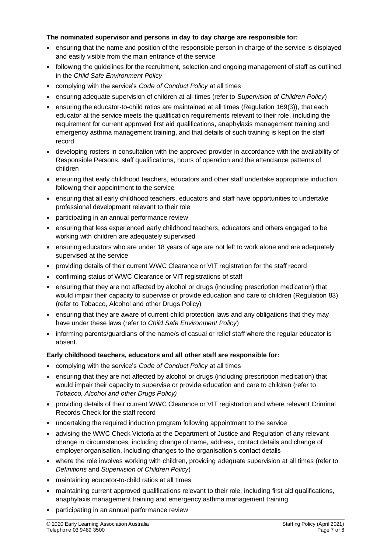#### **The nominated supervisor and persons in day to day charge are responsible for:**

- ensuring that the name and position of the responsible person in charge of the service is displayed and easily visible from the main entrance of the service
- following the guidelines for the recruitment, selection and ongoing management of staff as outlined in the *Child Safe Environment Policy*
- complying with the service's *Code of Conduct Policy* at all times
- ensuring adequate supervision of children at all times (refer to *Supervision of Children Policy*)
- ensuring the educator-to-child ratios are maintained at all times (Regulation 169(3)), that each educator at the service meets the qualification requirements relevant to their role, including the requirement for current approved first aid qualifications, anaphylaxis management training and emergency asthma management training, and that details of such training is kept on the staff record
- developing rosters in consultation with the approved provider in accordance with the availability of Responsible Persons, staff qualifications, hours of operation and the attendance patterns of children
- ensuring that early childhood teachers, educators and other staff undertake appropriate induction following their appointment to the service
- ensuring that all early childhood teachers, educators and staff have opportunities to undertake professional development relevant to their role
- participating in an annual performance review
- ensuring that less experienced early childhood teachers, educators and others engaged to be working with children are adequately supervised
- ensuring educators who are under 18 years of age are not left to work alone and are adequately supervised at the service
- providing details of their current WWC Clearance or VIT registration for the staff record
- confirming status of WWC Clearance or VIT registrations of staff
- ensuring that they are not affected by alcohol or drugs (including prescription medication) that would impair their capacity to supervise or provide education and care to children (Regulation 83) (refer to Tobacco, Alcohol and other Drugs Policy)
- ensuring that they are aware of current child protection laws and any obligations that they may have under these laws (refer to *Child Safe Environment Policy*)
- informing parents/guardians of the name/s of casual or relief staff where the regular educator is absent.

## **Early childhood teachers, educators and all other staff are responsible for:**

- complying with the service's *Code of Conduct Policy* at all times
- ensuring that they are not affected by alcohol or drugs (including prescription medication) that would impair their capacity to supervise or provide education and care to children (refer to *Tobacco, Alcohol and other Drugs Policy)*
- providing details of their current WWC Clearance or VIT registration and where relevant Criminal Records Check for the staff record
- undertaking the required induction program following appointment to the service
- advising the WWC Check Victoria at the Department of Justice and Regulation of any relevant change in circumstances, including change of name, address, contact details and change of employer organisation, including changes to the organisation's contact details
- where the role involves working with children, providing adequate supervision at all times (refer to *Definitions* and *Supervision of Children Policy*)
- maintaining educator-to-child ratios at all times
- maintaining current approved qualifications relevant to their role, including first aid qualifications, anaphylaxis management training and emergency asthma management training
- participating in an annual performance review